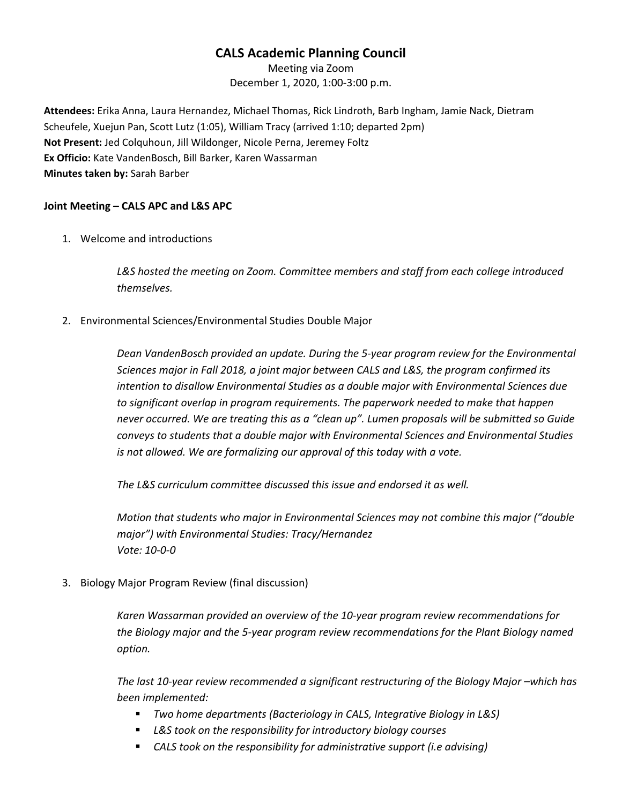# **CALS Academic Planning Council**

Meeting via Zoom December 1, 2020, 1:00-3:00 p.m.

**Attendees:** Erika Anna, Laura Hernandez, Michael Thomas, Rick Lindroth, Barb Ingham, Jamie Nack, Dietram Scheufele, Xuejun Pan, Scott Lutz (1:05), William Tracy (arrived 1:10; departed 2pm) **Not Present:** Jed Colquhoun, Jill Wildonger, Nicole Perna, Jeremey Foltz **Ex Officio:** Kate VandenBosch, Bill Barker, Karen Wassarman **Minutes taken by:** Sarah Barber

### **Joint Meeting – CALS APC and L&S APC**

1. Welcome and introductions

*L&S hosted the meeting on Zoom. Committee members and staff from each college introduced themselves.*

2. Environmental Sciences/Environmental Studies Double Major

*Dean VandenBosch provided an update. During the 5-year program review for the Environmental Sciences major in Fall 2018, a joint major between CALS and L&S, the program confirmed its intention to disallow Environmental Studies as a double major with Environmental Sciences due to significant overlap in program requirements. The paperwork needed to make that happen never occurred. We are treating this as a "clean up". Lumen proposals will be submitted so Guide conveys to students that a double major with Environmental Sciences and Environmental Studies is not allowed. We are formalizing our approval of this today with a vote.* 

*The L&S curriculum committee discussed this issue and endorsed it as well.* 

*Motion that students who major in Environmental Sciences may not combine this major ("double major") with Environmental Studies: Tracy/Hernandez Vote: 10-0-0*

3. Biology Major Program Review (final discussion)

*Karen Wassarman provided an overview of the 10-year program review recommendations for the Biology major and the 5-year program review recommendations for the Plant Biology named option.*

*The last 10-year review recommended a significant restructuring of the Biology Major –which has been implemented:* 

- *Two home departments (Bacteriology in CALS, Integrative Biology in L&S)*
- *L&S took on the responsibility for introductory biology courses*
- *CALS took on the responsibility for administrative support (i.e advising)*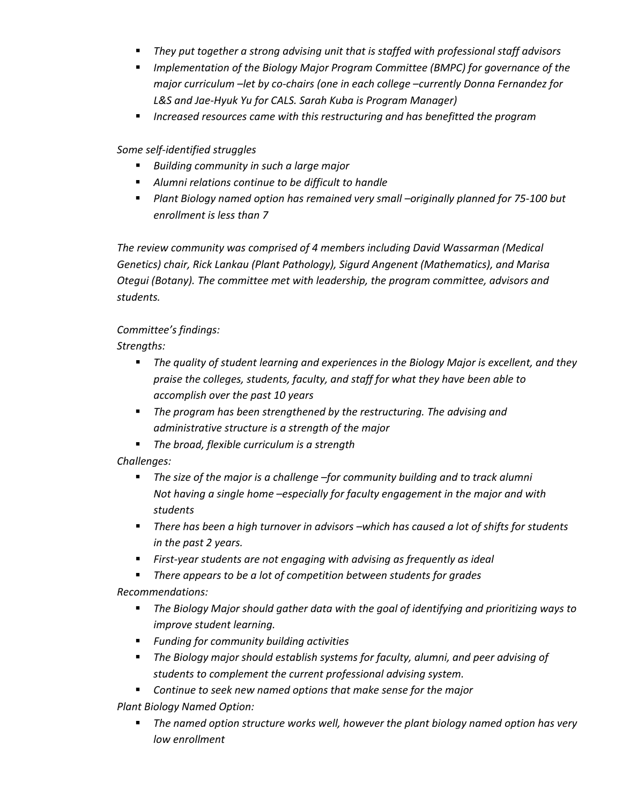- *They put together a strong advising unit that is staffed with professional staff advisors*
- *Implementation of the Biology Major Program Committee (BMPC) for governance of the major curriculum –let by co-chairs (one in each college –currently Donna Fernandez for L&S and Jae-Hyuk Yu for CALS. Sarah Kuba is Program Manager)*
- *Increased resources came with this restructuring and has benefitted the program*

## *Some self-identified struggles*

- *Building community in such a large major*
- *Alumni relations continue to be difficult to handle*
- *Plant Biology named option has remained very small –originally planned for 75-100 but enrollment is less than 7*

*The review community was comprised of 4 members including David Wassarman (Medical Genetics) chair, Rick Lankau (Plant Pathology), Sigurd Angenent (Mathematics), and Marisa Otegui (Botany). The committee met with leadership, the program committee, advisors and students.* 

## *Committee's findings:*

*Strengths:*

- *The quality of student learning and experiences in the Biology Major is excellent, and they praise the colleges, students, faculty, and staff for what they have been able to accomplish over the past 10 years*
- *The program has been strengthened by the restructuring. The advising and administrative structure is a strength of the major*
- *The broad, flexible curriculum is a strength*

*Challenges:* 

- *The size of the major is a challenge –for community building and to track alumni Not having a single home –especially for faculty engagement in the major and with students*
- *There has been a high turnover in advisors –which has caused a lot of shifts for students in the past 2 years.*
- *First-year students are not engaging with advising as frequently as ideal*
- *There appears to be a lot of competition between students for grades*

*Recommendations:*

- *The Biology Major should gather data with the goal of identifying and prioritizing ways to improve student learning.*
- *Funding for community building activities*
- *The Biology major should establish systems for faculty, alumni, and peer advising of students to complement the current professional advising system.*
- *Continue to seek new named options that make sense for the major*

*Plant Biology Named Option:* 

 *The named option structure works well, however the plant biology named option has very low enrollment*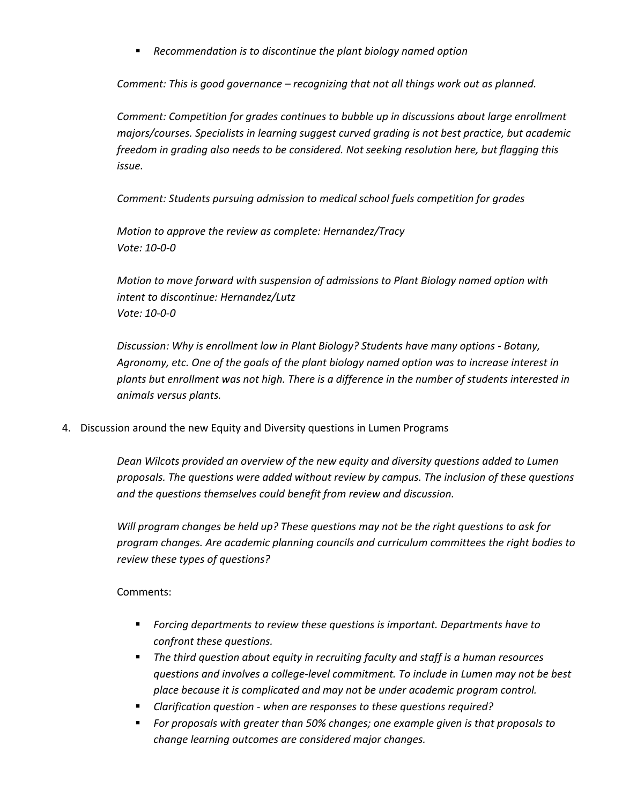*Recommendation is to discontinue the plant biology named option* 

*Comment: This is good governance – recognizing that not all things work out as planned.* 

*Comment: Competition for grades continues to bubble up in discussions about large enrollment majors/courses. Specialists in learning suggest curved grading is not best practice, but academic freedom in grading also needs to be considered. Not seeking resolution here, but flagging this issue.*

*Comment: Students pursuing admission to medical school fuels competition for grades* 

*Motion to approve the review as complete: Hernandez/Tracy Vote: 10-0-0*

*Motion to move forward with suspension of admissions to Plant Biology named option with intent to discontinue: Hernandez/Lutz Vote: 10-0-0*

*Discussion: Why is enrollment low in Plant Biology? Students have many options - Botany, Agronomy, etc. One of the goals of the plant biology named option was to increase interest in plants but enrollment was not high. There is a difference in the number of students interested in animals versus plants.* 

4. Discussion around the new Equity and Diversity questions in Lumen Programs

*Dean Wilcots provided an overview of the new equity and diversity questions added to Lumen proposals. The questions were added without review by campus. The inclusion of these questions and the questions themselves could benefit from review and discussion.* 

*Will program changes be held up? These questions may not be the right questions to ask for program changes. Are academic planning councils and curriculum committees the right bodies to review these types of questions?*

#### Comments:

- *Forcing departments to review these questions is important. Departments have to confront these questions.*
- *The third question about equity in recruiting faculty and staff is a human resources questions and involves a college-level commitment. To include in Lumen may not be best place because it is complicated and may not be under academic program control.*
- *Clarification question - when are responses to these questions required?*
- *For proposals with greater than 50% changes; one example given is that proposals to change learning outcomes are considered major changes.*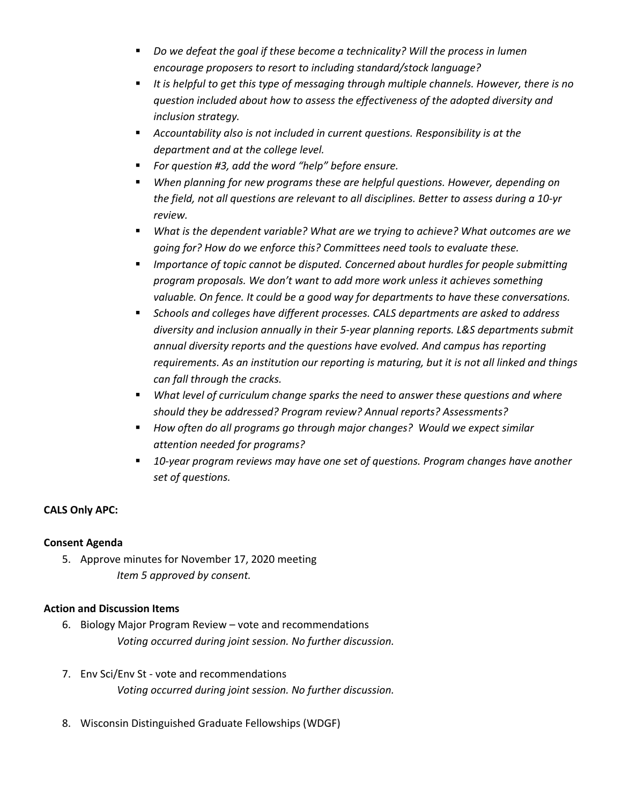- *Do we defeat the goal if these become a technicality? Will the process in lumen encourage proposers to resort to including standard/stock language?*
- *It is helpful to get this type of messaging through multiple channels. However, there is no question included about how to assess the effectiveness of the adopted diversity and inclusion strategy.*
- *Accountability also is not included in current questions. Responsibility is at the department and at the college level.*
- *For question #3, add the word "help" before ensure.*
- *When planning for new programs these are helpful questions. However, depending on the field, not all questions are relevant to all disciplines. Better to assess during a 10-yr review.*
- *What is the dependent variable? What are we trying to achieve? What outcomes are we going for? How do we enforce this? Committees need tools to evaluate these.*
- *Importance of topic cannot be disputed. Concerned about hurdles for people submitting program proposals. We don't want to add more work unless it achieves something valuable. On fence. It could be a good way for departments to have these conversations.*
- *Schools and colleges have different processes. CALS departments are asked to address diversity and inclusion annually in their 5-year planning reports. L&S departments submit annual diversity reports and the questions have evolved. And campus has reporting requirements. As an institution our reporting is maturing, but it is not all linked and things can fall through the cracks.*
- *What level of curriculum change sparks the need to answer these questions and where should they be addressed? Program review? Annual reports? Assessments?*
- *How often do all programs go through major changes? Would we expect similar attention needed for programs?*
- *10-year program reviews may have one set of questions. Program changes have another set of questions.*

## **CALS Only APC:**

#### **Consent Agenda**

5. Approve minutes for November 17, 2020 meeting *Item 5 approved by consent.*

#### **Action and Discussion Items**

- 6. Biology Major Program Review vote and recommendations *Voting occurred during joint session. No further discussion.*
- 7. Env Sci/Env St vote and recommendations *Voting occurred during joint session. No further discussion.*
- 8. Wisconsin Distinguished Graduate Fellowships (WDGF)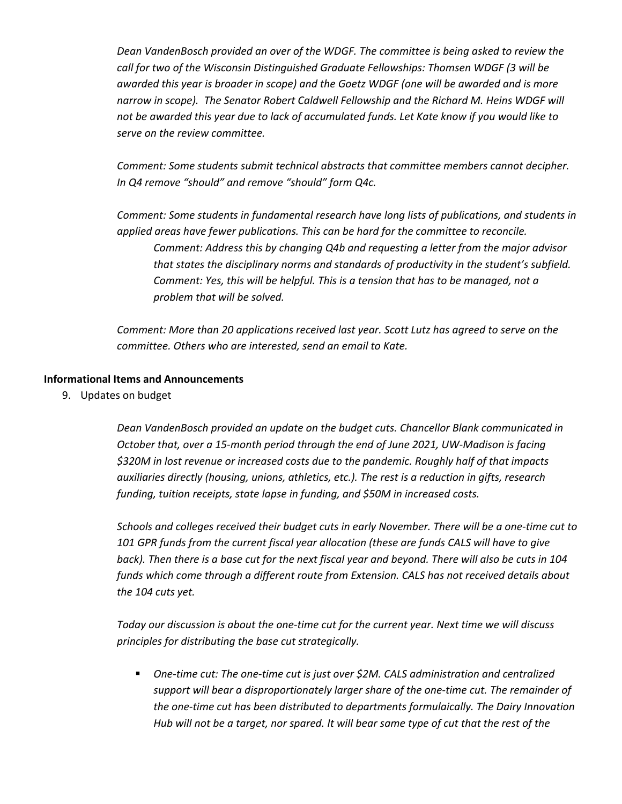*Dean VandenBosch provided an over of the WDGF. The committee is being asked to review the call for two of the Wisconsin Distinguished Graduate Fellowships: Thomsen WDGF (3 will be awarded this year is broader in scope) and the Goetz WDGF (one will be awarded and is more narrow in scope). The Senator Robert Caldwell Fellowship and the Richard M. Heins WDGF will not be awarded this year due to lack of accumulated funds. Let Kate know if you would like to serve on the review committee.* 

*Comment: Some students submit technical abstracts that committee members cannot decipher. In Q4 remove "should" and remove "should" form Q4c.* 

*Comment: Some students in fundamental research have long lists of publications, and students in applied areas have fewer publications. This can be hard for the committee to reconcile. Comment: Address this by changing Q4b and requesting a letter from the major advisor that states the disciplinary norms and standards of productivity in the student's subfield. Comment: Yes, this will be helpful. This is a tension that has to be managed, not a problem that will be solved.* 

*Comment: More than 20 applications received last year. Scott Lutz has agreed to serve on the committee. Others who are interested, send an email to Kate.* 

#### **Informational Items and Announcements**

9. Updates on budget

*Dean VandenBosch provided an update on the budget cuts. Chancellor Blank communicated in October that, over a 15-month period through the end of June 2021, UW-Madison is facing \$320M in lost revenue or increased costs due to the pandemic. Roughly half of that impacts auxiliaries directly (housing, unions, athletics, etc.). The rest is a reduction in gifts, research funding, tuition receipts, state lapse in funding, and \$50M in increased costs.* 

*Schools and colleges received their budget cuts in early November. There will be a one-time cut to 101 GPR funds from the current fiscal year allocation (these are funds CALS will have to give back). Then there is a base cut for the next fiscal year and beyond. There will also be cuts in 104 funds which come through a different route from Extension. CALS has not received details about the 104 cuts yet.*

*Today our discussion is about the one-time cut for the current year. Next time we will discuss principles for distributing the base cut strategically.*

 *One-time cut: The one-time cut is just over \$2M. CALS administration and centralized support will bear a disproportionately larger share of the one-time cut. The remainder of the one-time cut has been distributed to departments formulaically. The Dairy Innovation Hub will not be a target, nor spared. It will bear same type of cut that the rest of the*